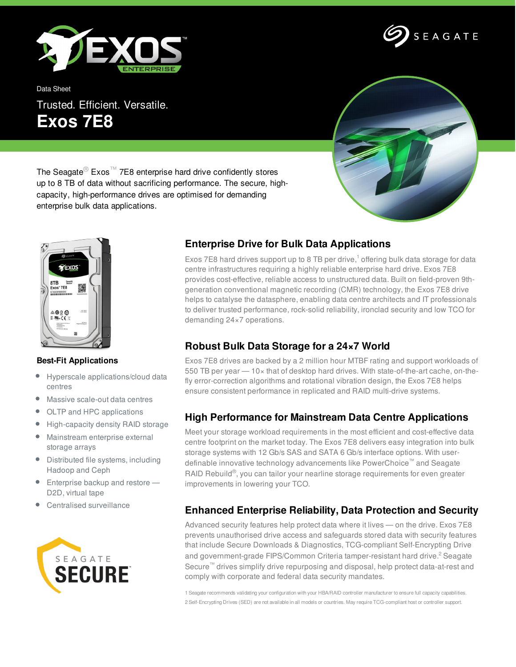

Data Sheet

Trusted. Efficient. Versatile. **Exos 7E8**



SEAGATE

The Seagate<sup>®</sup> Exos<sup>™</sup> 7E8 enterprise hard drive confidently stores up to 8 TB of data without sacrificing performance. The secure, highcapacity, high-performance drives are optimised for demanding enterprise bulk data applications.



#### **Best-Fit Applications**

- $\bullet$ Hyperscale applications/cloud data centres
- Massive scale-out data centres ۰
- OLTP and HPC applications  $\bullet$
- $\bullet$ High-capacity density RAID storage
- Mainstream enterprise external storage arrays
- Distributed file systems, including Hadoop and Ceph
- **Enterprise backup and restore** D2D, virtual tape
- Centralised surveillance



## **Enterprise Drive for Bulk Data Applications**

Exos 7E8 hard drives support up to 8 TB per drive,<sup>1</sup> offering bulk data storage for data centre infrastructures requiring a highly reliable enterprise hard drive. Exos 7E8 provides cost-effective, reliable access to unstructured data. Built on field-proven 9thgeneration conventional magnetic recording (CMR) technology, the Exos 7E8 drive helps to catalyse the datasphere, enabling data centre architects and IT professionals to deliver trusted performance, rock-solid reliability, ironclad security and low TCO for demanding 24×7 operations.

# **Robust Bulk Data Storage for a 24×7 World**

Exos 7E8 drives are backed by a 2 million hour MTBF rating and support workloads of 550 TB per year — 10× that of desktop hard drives. With state-of-the-art cache, on-thefly error-correction algorithms and rotational vibration design, the Exos 7E8 helps ensure consistent performance in replicated and RAID multi-drive systems.

### **High Performance for Mainstream Data Centre Applications**

Meet your storage workload requirements in the most efficient and cost-effective data centre footprint on the market today. The Exos 7E8 delivers easy integration into bulk storage systems with 12 Gb/s SAS and SATA 6 Gb/s interface options. With userdefinable innovative technology advancements like PowerChoice™ and Seagate RAID Rebuild<sup>®</sup>, you can tailor your nearline storage requirements for even greater improvements in lowering your TCO.

### **Enhanced Enterprise Reliability, Data Protection and Security**

Advanced security features help protect data where it lives — on the drive. Exos 7E8 prevents unauthorised drive access and safeguards stored data with security features that include Secure Downloads & Diagnostics, TCG-compliant Self-Encrypting Drive and government-grade FIPS/Common Criteria tamper-resistant hard drive. <sup>2</sup> Seagate Secure™ drives simplify drive repurposing and disposal, help protect data-at-rest and comply with corporate and federal data security mandates.

1 Seagate recommends validating your configuration with your HBA/RAID controller manufacturer to ensure full capacity capabilities. 2 Self-Encrypting Drives (SED) are not available in all models or countries. May require TCG-compliant host or controller support.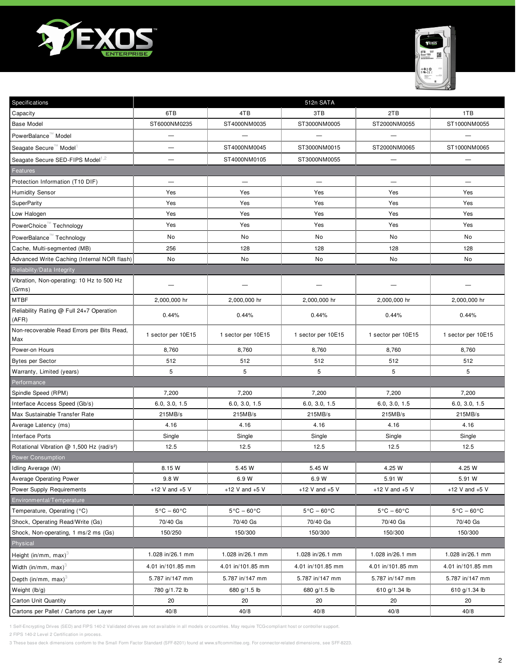



| Specifications                                              |                                 |                                 | 512n SATA                       |                                 |                                 |
|-------------------------------------------------------------|---------------------------------|---------------------------------|---------------------------------|---------------------------------|---------------------------------|
| Capacity                                                    | 6TB                             | 4TB                             | 3TB                             | 2TB                             | 1TB                             |
| <b>Base Model</b>                                           | ST6000NM0235                    | ST4000NM0035                    | ST3000NM0005                    | ST2000NM0055                    | ST1000NM0055                    |
| PowerBalance <sup>™</sup> Model                             | $\overline{\phantom{0}}$        | $\overline{\phantom{0}}$        | -                               | -                               |                                 |
| Seagate Secure <sup>™</sup> Model                           | <u>.</u>                        | ST4000NM0045                    | ST3000NM0015                    | ST2000NM0065                    | ST1000NM0065                    |
| Seagate Secure SED-FIPS Model <sup>1,2</sup>                | $\overline{\phantom{0}}$        | ST4000NM0105                    | ST3000NM0055                    |                                 | $\overline{\phantom{0}}$        |
| Features                                                    |                                 |                                 |                                 |                                 |                                 |
| Protection Information (T10 DIF)                            |                                 | $\overline{\phantom{m}}$        | $\qquad \qquad$                 | $\overline{\phantom{0}}$        |                                 |
| <b>Humidity Sensor</b>                                      | Yes                             | Yes                             | Yes                             | Yes                             | Yes                             |
| <b>SuperParity</b>                                          | Yes                             | Yes                             | Yes                             | Yes                             | Yes                             |
| Low Halogen                                                 | Yes                             | Yes                             | Yes                             | Yes                             | Yes                             |
| PowerChoice™ Technology                                     | Yes                             | Yes                             | Yes                             | Yes                             | Yes                             |
| PowerBalance <sup>™</sup> Technology                        | No                              | No                              | No                              | No                              | No                              |
| Cache, Multi-segmented (MB)                                 | 256                             | 128                             | 128                             | 128                             | 128                             |
| Advanced Write Caching (Internal NOR flash)                 | No                              | No                              | No                              | No                              | No                              |
| Reliability/Data Integrity                                  |                                 |                                 |                                 |                                 |                                 |
| Vibration, Non-operating: 10 Hz to 500 Hz<br>(Grms)         |                                 |                                 |                                 |                                 |                                 |
| MTBF                                                        | 2,000,000 hr                    | 2,000,000 hr                    | 2,000,000 hr                    | 2,000,000 hr                    | 2,000,000 hr                    |
| Reliability Rating @ Full 24x7 Operation<br>(AFR)           | 0.44%                           | 0.44%                           | 0.44%                           | 0.44%                           | 0.44%                           |
| Non-recoverable Read Errors per Bits Read,<br>Max           | 1 sector per 10E15              | 1 sector per 10E15              | 1 sector per 10E15              | 1 sector per 10E15              | 1 sector per 10E15              |
| Power-on Hours                                              | 8,760                           | 8,760                           | 8,760                           | 8,760                           | 8,760                           |
| <b>Bytes per Sector</b>                                     | 512                             | 512                             | 512                             | 512                             | 512                             |
| Warranty, Limited (years)                                   | 5                               | 5                               | 5                               | 5                               | 5                               |
| Performance                                                 |                                 |                                 |                                 |                                 |                                 |
| Spindle Speed (RPM)                                         | 7,200                           | 7,200                           | 7,200                           | 7,200                           | 7,200                           |
| Interface Access Speed (Gb/s)                               | 6.0, 3.0, 1.5                   | 6.0, 3.0, 1.5                   | 6.0, 3.0, 1.5                   | 6.0, 3.0, 1.5                   | 6.0, 3.0, 1.5                   |
| Max Sustainable Transfer Rate                               | 215MB/s                         | 215MB/s                         | 215MB/s                         | 215MB/s                         | 215MB/s                         |
| Average Latency (ms)                                        | 4.16                            | 4.16                            | 4.16                            | 4.16                            | 4.16                            |
| Interface Ports                                             | Single                          | Single                          | Single                          | Single                          | Single                          |
| Rotational Vibration @ 1,500 Hz (rad/s <sup>2</sup> )       | 12.5                            | 12.5                            | 12.5                            | 12.5                            | 12.5                            |
| <b>Power Consumption</b>                                    |                                 |                                 |                                 |                                 |                                 |
| Idling Average (W)                                          | 8.15 W                          | 5.45 W                          | 5.45 W                          | 4.25 W                          | 4.25 W                          |
| Average Operating Power<br><b>Power Supply Requirements</b> | 9.8 W                           | 6.9 W                           | 6.9 W<br>+12 V and $+5$ V       | 5.91 W<br>+12 V and $+5$ V      | 5.91 W                          |
| Environmental/Temperature                                   | +12 V and $+5$ V                | +12 V and $+5$ V                |                                 |                                 | $+12$ V and $+5$ V              |
| Temperature, Operating (°C)                                 | $5^{\circ}$ C – 60 $^{\circ}$ C | $5^{\circ}$ C – 60 $^{\circ}$ C | $5^{\circ}$ C - 60 $^{\circ}$ C | $5^{\circ}$ C – 60 $^{\circ}$ C | $5^{\circ}$ C - 60 $^{\circ}$ C |
| Shock, Operating Read/Write (Gs)                            | 70/40 Gs                        | 70/40 Gs                        | 70/40 Gs                        | 70/40 Gs                        | 70/40 Gs                        |
| Shock, Non-operating, 1 ms/2 ms (Gs)                        | 150/250                         | 150/300                         | 150/300                         | 150/300                         | 150/300                         |
| Physical                                                    |                                 |                                 |                                 |                                 |                                 |
| Height (in/mm, max) <sup>3</sup>                            | 1.028 in/26.1 mm                | 1.028 in/26.1 mm                | 1.028 in/26.1 mm                | 1.028 in/26.1 mm                | 1.028 in/26.1 mm                |
| Width (in/mm, max) $3$                                      | 4.01 in/101.85 mm               | 4.01 in/101.85 mm               | 4.01 in/101.85 mm               | 4.01 in/101.85 mm               | 4.01 in/101.85 mm               |
| Depth (in/mm, max) $3$                                      | 5.787 in/147 mm                 | 5.787 in/147 mm                 | 5.787 in/147 mm                 | 5.787 in/147 mm                 | 5.787 in/147 mm                 |
| Weight (lb/g)                                               | 780 g/1.72 lb                   | 680 g/1.5 lb                    | 680 g/1.5 lb                    | 610 g/1.34 lb                   | 610 g/1.34 lb                   |
| <b>Carton Unit Quantity</b>                                 | 20                              | 20                              | 20                              | 20                              | 20                              |
| Cartons per Pallet / Cartons per Layer                      | 40/8                            | 40/8                            | 40/8                            | 40/8                            | 40/8                            |
|                                                             |                                 |                                 |                                 |                                 |                                 |

2 FIPS 140-2 Level 2 Certification in process.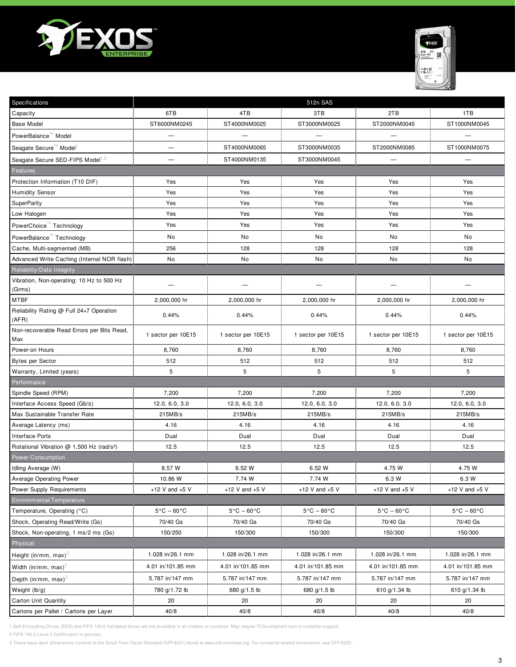



| Specifications                                                  | 512n SAS                                    |                                             |                                             |                                             |                                             |
|-----------------------------------------------------------------|---------------------------------------------|---------------------------------------------|---------------------------------------------|---------------------------------------------|---------------------------------------------|
| Capacity                                                        | 6TB                                         | 4TB                                         | 3TB                                         | 2TB                                         | 1TB                                         |
| <b>Base Model</b>                                               | ST6000NM0245                                | ST4000NM0025                                | ST3000NM0025                                | ST2000NM0045                                | ST1000NM0045                                |
| PowerBalance <sup>™</sup> Model                                 | $\overline{\phantom{0}}$                    |                                             |                                             |                                             |                                             |
| Seagate Secure™ Model                                           | -                                           | ST4000NM0065                                | ST3000NM0035                                | ST2000NM0085                                | ST1000NM0075                                |
| Seagate Secure SED-FIPS Model <sup>1,2</sup>                    | -                                           | ST4000NM0135                                | ST3000NM0045                                |                                             |                                             |
| Features                                                        |                                             |                                             |                                             |                                             |                                             |
| Protection Information (T10 DIF)                                | Yes                                         | Yes                                         | Yes                                         | Yes                                         | Yes                                         |
| <b>Humidity Sensor</b>                                          | Yes                                         | Yes                                         | Yes                                         | Yes                                         | Yes                                         |
| SuperParity                                                     | Yes                                         | Yes                                         | Yes                                         | Yes                                         | Yes                                         |
| Low Halogen                                                     | Yes                                         | Yes                                         | Yes                                         | Yes                                         | Yes                                         |
| PowerChoice <sup>™</sup> Technology                             | Yes                                         | Yes                                         | Yes                                         | Yes                                         | Yes                                         |
| PowerBalance <sup>™</sup> Technology                            | No                                          | No                                          | No                                          | No                                          | No                                          |
| Cache, Multi-segmented (MB)                                     | 256                                         | 128                                         | 128                                         | 128                                         | 128                                         |
| Advanced Write Caching (Internal NOR flash)                     | No                                          | No                                          | No                                          | No                                          | No                                          |
| Reliability/Data Integrity                                      |                                             |                                             |                                             |                                             |                                             |
| Vibration, Non-operating: 10 Hz to 500 Hz<br>(Grms)             |                                             |                                             |                                             |                                             |                                             |
| MTBF                                                            | 2,000,000 hr                                | 2,000,000 hr                                | 2,000,000 hr                                | 2,000,000 hr                                | 2,000,000 hr                                |
| Reliability Rating @ Full 24x7 Operation<br>(AFR)               | 0.44%                                       | 0.44%                                       | 0.44%                                       | 0.44%                                       | 0.44%                                       |
| Non-recoverable Read Errors per Bits Read,<br>Max               | 1 sector per 10E15                          | 1 sector per 10E15                          | 1 sector per 10E15                          | 1 sector per 10E15                          | 1 sector per 10E15                          |
| Power-on Hours                                                  | 8,760                                       | 8,760                                       | 8,760                                       | 8,760                                       | 8,760                                       |
| <b>Bytes per Sector</b>                                         | 512                                         | 512                                         | 512                                         | 512                                         | 512                                         |
| Warranty, Limited (years)                                       | 5                                           | 5                                           | 5                                           | 5                                           | 5                                           |
| Performance                                                     |                                             |                                             |                                             |                                             |                                             |
| Spindle Speed (RPM)                                             | 7,200                                       | 7,200                                       | 7,200                                       | 7,200                                       | 7,200                                       |
| Interface Access Speed (Gb/s)                                   | 12.0, 6.0, 3.0                              | 12.0, 6.0, 3.0                              | 12.0, 6.0, 3.0                              | 12.0, 6.0, 3.0                              | 12.0, 6.0, 3.0                              |
| Max Sustainable Transfer Rate                                   | 215MB/s                                     | 215MB/s                                     | 215MB/s                                     | 215MB/s                                     | 215MB/s                                     |
| Average Latency (ms)                                            | 4.16                                        | 4.16                                        | 4.16                                        | 4.16                                        | 4.16                                        |
| Interface Ports                                                 | Dual                                        | Dual                                        | Dual                                        | Dual                                        | Dual                                        |
| Rotational Vibration @ 1,500 Hz (rad/s <sup>2</sup> )           | 12.5                                        | 12.5                                        | 12.5                                        | 12.5                                        | 12.5                                        |
| Power Consumption                                               |                                             |                                             |                                             |                                             |                                             |
| Idling Average (W)                                              | 8.57 W                                      | 6.52 W                                      | 6.52 W                                      | 4.75 W                                      | 4.75 W                                      |
| Average Operating Power                                         | 10.86 W                                     | 7.74 W                                      | 7.74 W                                      | 6.3 W                                       | 6.3 W                                       |
| Power Supply Requirements                                       | +12 V and $+5$ V                            | +12 V and $+5$ V                            | +12 V and $+5$ V                            | +12 V and $+5$ V                            | +12 V and $+5$ V                            |
| Environmental/Temperature                                       |                                             |                                             |                                             |                                             |                                             |
| Temperature, Operating (°C)<br>Shock, Operating Read/Write (Gs) | $5^{\circ}$ C - 60 $^{\circ}$ C<br>70/40 Gs | $5^{\circ}$ C – 60 $^{\circ}$ C<br>70/40 Gs | $5^{\circ}$ C – 60 $^{\circ}$ C<br>70/40 Gs | $5^{\circ}$ C – 60 $^{\circ}$ C<br>70/40 Gs | $5^{\circ}$ C - 60 $^{\circ}$ C<br>70/40 Gs |
| Shock, Non-operating, 1 ms/2 ms (Gs)                            | 150/250                                     | 150/300                                     | 150/300                                     | 150/300                                     | 150/300                                     |
| Physical                                                        |                                             |                                             |                                             |                                             |                                             |
| Height (in/mm, max) <sup>3</sup>                                | 1.028 in/26.1 mm                            | 1.028 in/26.1 mm                            | 1.028 in/26.1 mm                            | 1.028 in/26.1 mm                            | 1.028 in/26.1 mm                            |
| Width (in/mm, max) $3$                                          | 4.01 in/101.85 mm                           | 4.01 in/101.85 mm                           | 4.01 in/101.85 mm                           | 4.01 in/101.85 mm                           | 4.01 in/101.85 mm                           |
|                                                                 | 5.787 in/147 mm                             | 5.787 in/147 mm                             | 5.787 in/147 mm                             | 5.787 in/147 mm                             | 5.787 in/147 mm                             |
| Depth (in/mm, max) $3$                                          |                                             |                                             |                                             |                                             |                                             |
| Weight (lb/g)                                                   | 780 g/1.72 lb                               | 680 g/1.5 lb                                | 680 g/1.5 lb                                | 610 g/1.34 lb                               | 610 g/1.34 lb<br>20                         |
| <b>Carton Unit Quantity</b>                                     | 20                                          | 20<br>40/8                                  | 20<br>40/8                                  | 20<br>40/8                                  | 40/8                                        |
| Cartons per Pallet / Cartons per Layer                          | 40/8                                        |                                             |                                             |                                             |                                             |

2 FIPS 140-2 Level 2 Certification in process.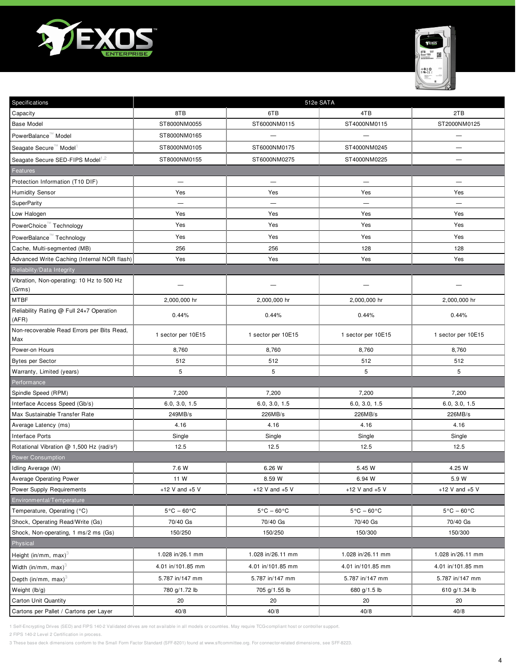



| Specifications                                        | 512e SATA                       |                                 |                                 |                                 |
|-------------------------------------------------------|---------------------------------|---------------------------------|---------------------------------|---------------------------------|
| Capacity                                              | 8TB                             | 6TB                             | 4TB                             | 2TB                             |
| <b>Base Model</b>                                     | ST8000NM0055                    | ST6000NM0115                    | ST4000NM0115                    | ST2000NM0125                    |
| PowerBalance <sup>™</sup> Model                       | ST8000NM0165                    |                                 |                                 | —                               |
| Seagate Secure™ Model                                 | ST8000NM0105                    | ST6000NM0175                    | ST4000NM0245                    | —                               |
| Seagate Secure SED-FIPS Model <sup>1,2</sup>          | ST8000NM0155                    | ST6000NM0275                    | ST4000NM0225                    | -                               |
| Features                                              |                                 |                                 |                                 |                                 |
| Protection Information (T10 DIF)                      | $\overline{\phantom{m}}$        | $\overline{\phantom{m}}$        | $\overline{\phantom{0}}$        | $\overline{\phantom{0}}$        |
| <b>Humidity Sensor</b>                                | Yes                             | Yes                             | Yes                             | Yes                             |
| SuperParity                                           | $\overline{\phantom{0}}$        | $\overline{\phantom{0}}$        | $\overline{\phantom{0}}$        | $\overline{\phantom{0}}$        |
| Low Halogen                                           | Yes                             | Yes                             | Yes                             | Yes                             |
| PowerChoice <sup>™</sup> Technology                   | Yes                             | Yes                             | Yes                             | Yes                             |
| PowerBalance <sup>™</sup> Technology                  | Yes                             | Yes                             | Yes                             | Yes                             |
| Cache, Multi-segmented (MB)                           | 256                             | 256                             | 128                             | 128                             |
| Advanced Write Caching (Internal NOR flash)           | Yes                             | Yes                             | Yes                             | Yes                             |
| Reliability/Data Integrity                            |                                 |                                 |                                 |                                 |
| Vibration, Non-operating: 10 Hz to 500 Hz<br>(Grms)   |                                 |                                 |                                 |                                 |
| MTBF                                                  | 2,000,000 hr                    | 2,000,000 hr                    | 2,000,000 hr                    | 2,000,000 hr                    |
| Reliability Rating @ Full 24x7 Operation<br>(AFR)     | 0.44%                           | 0.44%                           | 0.44%                           | 0.44%                           |
| Non-recoverable Read Errors per Bits Read,<br>Max     | 1 sector per 10E15              | 1 sector per 10E15              | 1 sector per 10E15              | 1 sector per 10E15              |
| Power-on Hours                                        | 8,760                           | 8,760                           | 8,760                           | 8,760                           |
| <b>Bytes per Sector</b>                               | 512                             | 512                             | 512                             | 512                             |
| Warranty, Limited (years)                             | 5                               | 5                               | 5                               | 5                               |
| Performance                                           |                                 |                                 |                                 |                                 |
| Spindle Speed (RPM)                                   | 7,200                           | 7,200                           | 7,200                           | 7,200                           |
| Interface Access Speed (Gb/s)                         | 6.0, 3.0, 1.5                   | 6.0, 3.0, 1.5                   | 6.0, 3.0, 1.5                   | 6.0, 3.0, 1.5                   |
| Max Sustainable Transfer Rate                         | 249MB/s                         | 226MB/s                         | 226MB/s                         | 226MB/s                         |
| Average Latency (ms)                                  | 4.16                            | 4.16                            | 4.16                            | 4.16                            |
| Interface Ports                                       | Single                          | Single                          | Single                          | Single                          |
| Rotational Vibration @ 1,500 Hz (rad/s <sup>2</sup> ) | 12.5                            | 12.5                            | 12.5                            | 12.5                            |
| Power Consumption                                     |                                 |                                 |                                 |                                 |
| Idling Average (W)                                    | 7.6 W                           | 6.26 W                          | 5.45 W                          | 4.25 W                          |
| Average Operating Power                               | 11 W                            | 8.59 W                          | 6.94 W                          | 5.9 W                           |
| <b>Power Supply Requirements</b>                      | +12 V and $+5$ V                | +12 V and $+5$ V                | $+12$ V and $+5$ V              | +12 V and $+5$ V                |
| Environmental/Temperature                             |                                 |                                 |                                 |                                 |
| Temperature, Operating (°C)                           | $5^{\circ}$ C – 60 $^{\circ}$ C | $5^{\circ}$ C - 60 $^{\circ}$ C | $5^{\circ}$ C - 60 $^{\circ}$ C | $5^{\circ}$ C – 60 $^{\circ}$ C |
| Shock, Operating Read/Write (Gs)                      | 70/40 Gs                        | 70/40 Gs                        | 70/40 Gs                        | 70/40 Gs                        |
| Shock, Non-operating, 1 ms/2 ms (Gs)                  | 150/250                         | 150/250                         | 150/300                         | 150/300                         |
| Physical                                              |                                 |                                 |                                 |                                 |
| Height (in/mm, max) <sup>3</sup>                      | 1.028 in/26.1 mm                | 1.028 in/26.11 mm               | 1.028 in/26.11 mm               | 1.028 in/26.11 mm               |
| Width (in/mm, max) $3$                                | 4.01 in/101.85 mm               | 4.01 in/101.85 mm               | 4.01 in/101.85 mm               | 4.01 in/101.85 mm               |
| Depth (in/mm, max) $3$                                | 5.787 in/147 mm                 | 5.787 in/147 mm                 | 5.787 in/147 mm                 | 5.787 in/147 mm                 |
| Weight (lb/g)                                         | 780 g/1.72 lb                   | 705 g/1.55 lb                   | 680 g/1.5 lb                    | 610 g/1.34 lb                   |
| Carton Unit Quantity                                  | 20                              | 20                              | 20                              | 20                              |
| Cartons per Pallet / Cartons per Layer                | 40/8                            | 40/8                            | 40/8                            | 40/8                            |

2 FIPS 140-2 Level 2 Certification in process.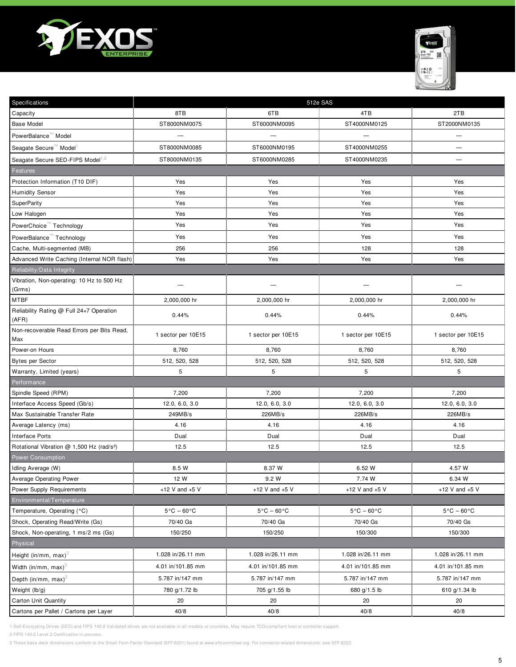



| Specifications                                        | 512e SAS                        |                                 |                                 |                                 |
|-------------------------------------------------------|---------------------------------|---------------------------------|---------------------------------|---------------------------------|
| Capacity                                              | 8TB                             | 6TB                             | 4TB                             | 2TB                             |
| <b>Base Model</b>                                     | ST8000NM0075                    | ST6000NM0095                    | ST4000NM0125                    | ST2000NM0135                    |
| PowerBalance <sup>"</sup> Model                       |                                 | $\overline{\phantom{0}}$        | —                               | $\overline{\phantom{0}}$        |
| Seagate Secure <sup>™</sup> Model <sup>1</sup>        | ST8000NM0085                    | ST6000NM0195                    | ST4000NM0255                    | -                               |
| Seagate Secure SED-FIPS Model <sup>1,2</sup>          | ST8000NM0135                    | ST6000NM0285                    | ST4000NM0235                    | -                               |
| Features                                              |                                 |                                 |                                 |                                 |
| Protection Information (T10 DIF)                      | Yes                             | Yes                             | Yes                             | Yes                             |
| <b>Humidity Sensor</b>                                | Yes                             | Yes                             | Yes                             | Yes                             |
| SuperParity                                           | Yes                             | Yes                             | Yes                             | Yes                             |
| Low Halogen                                           | Yes                             | Yes                             | Yes                             | Yes                             |
| PowerChoice <sup>™</sup> Technology                   | Yes                             | Yes                             | Yes                             | Yes                             |
| PowerBalance <sup>™</sup> Technology                  | Yes                             | Yes                             | Yes                             | Yes                             |
| Cache, Multi-segmented (MB)                           | 256                             | 256                             | 128                             | 128                             |
| Advanced Write Caching (Internal NOR flash)           | Yes                             | Yes                             | Yes                             | Yes                             |
| Reliability/Data Integrity                            |                                 |                                 |                                 |                                 |
| Vibration, Non-operating: 10 Hz to 500 Hz<br>(Grms)   |                                 |                                 |                                 |                                 |
| MTBF                                                  | 2,000,000 hr                    | 2,000,000 hr                    | 2,000,000 hr                    | 2,000,000 hr                    |
| Reliability Rating @ Full 24x7 Operation<br>(AFR)     | 0.44%                           | 0.44%                           | 0.44%                           | 0.44%                           |
| Non-recoverable Read Errors per Bits Read,<br>Max     | 1 sector per 10E15              | 1 sector per 10E15              | 1 sector per 10E15              | 1 sector per 10E15              |
| Power-on Hours                                        | 8,760                           | 8,760                           | 8,760                           | 8,760                           |
| <b>Bytes per Sector</b>                               | 512, 520, 528                   | 512, 520, 528                   | 512, 520, 528                   | 512, 520, 528                   |
| Warranty, Limited (years)                             | 5                               | 5                               | 5                               | 5                               |
| Performance                                           |                                 |                                 |                                 |                                 |
| Spindle Speed (RPM)                                   | 7,200                           | 7,200                           | 7,200                           | 7,200                           |
| Interface Access Speed (Gb/s)                         | 12.0, 6.0, 3.0                  | 12.0, 6.0, 3.0                  | 12.0, 6.0, 3.0                  | 12.0, 6.0, 3.0                  |
| Max Sustainable Transfer Rate                         | 249MB/s                         | 226MB/s                         | 226MB/s                         | 226MB/s                         |
| Average Latency (ms)                                  | 4.16                            | 4.16                            | 4.16                            | 4.16                            |
| Interface Ports                                       | Dual                            | Dual                            | Dual                            | Dual                            |
| Rotational Vibration @ 1,500 Hz (rad/s <sup>2</sup> ) | 12.5                            | 12.5                            | 12.5                            | 12.5                            |
| <b>Power Consumption</b>                              |                                 |                                 |                                 |                                 |
| Idling Average (W)                                    | 8.5 W                           | 8.37 W                          | 6.52 W                          | 4.57 W                          |
| Average Operating Power                               | 12 W                            | 9.2 W                           | 7.74 W                          | 6.34 W                          |
| Power Supply Requirements                             | +12 V and $+5$ V                | +12 V and $+5$ V                | +12 V and $+5$ V                | $+12$ V and $+5$ V              |
| Environmental/Temperature                             |                                 |                                 |                                 |                                 |
| Temperature, Operating (°C)                           | $5^{\circ}$ C - 60 $^{\circ}$ C | $5^{\circ}$ C - 60 $^{\circ}$ C | $5^{\circ}$ C - 60 $^{\circ}$ C | $5^{\circ}$ C - 60 $^{\circ}$ C |
| Shock, Operating Read/Write (Gs)                      | 70/40 Gs                        | 70/40 Gs                        | 70/40 Gs                        | 70/40 Gs                        |
| Shock, Non-operating, 1 ms/2 ms (Gs)                  | 150/250                         | 150/250                         | 150/300                         | 150/300                         |
| Physical                                              |                                 |                                 |                                 |                                 |
| Height (in/mm, max) $3$                               | 1.028 in/26.11 mm               | 1.028 in/26.11 mm               | 1.028 in/26.11 mm               | 1.028 in/26.11 mm               |
| Width (in/mm, max) $3$                                | 4.01 in/101.85 mm               | 4.01 in/101.85 mm               | 4.01 in/101.85 mm               | 4.01 in/101.85 mm               |
| Depth (in/mm, max) $3$                                | 5.787 in/147 mm                 | 5.787 in/147 mm                 | 5.787 in/147 mm                 | 5.787 in/147 mm                 |
| Weight (lb/g)                                         | 780 g/1.72 lb                   | 705 g/1.55 lb                   | 680 g/1.5 lb                    | 610 g/1.34 lb                   |
| <b>Carton Unit Quantity</b>                           | 20                              | 20                              | 20                              | 20                              |
| Cartons per Pallet / Cartons per Layer                | 40/8                            | 40/8                            | 40/8                            | 40/8                            |

2 FIPS 140-2 Level 2 Certification in process.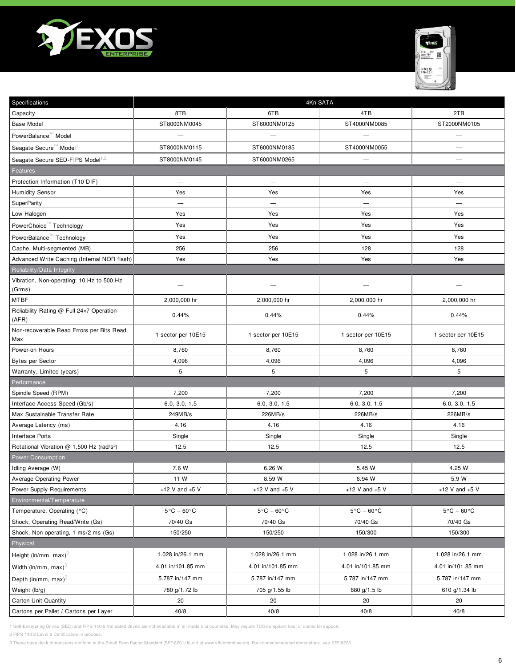



| Specifications                                        | 4Kn SATA                        |                                 |                                 |                                 |
|-------------------------------------------------------|---------------------------------|---------------------------------|---------------------------------|---------------------------------|
| Capacity                                              | 8TB                             | 6TB                             | 4TB                             | 2TB                             |
| <b>Base Model</b>                                     | ST8000NM0045                    | ST6000NM0125                    | ST4000NM0085                    | ST2000NM0105                    |
| PowerBalance™ Model                                   |                                 | $\overline{\phantom{0}}$        | —                               | —                               |
| Seagate Secure <sup>™</sup> Model <sup>1</sup>        | ST8000NM0115                    | ST6000NM0185                    | ST4000NM0055                    | -                               |
| Seagate Secure SED-FIPS Model <sup>1,2</sup>          | ST8000NM0145                    | ST6000NM0265                    | $\overline{\phantom{0}}$        | —                               |
| Features                                              |                                 |                                 |                                 |                                 |
| Protection Information (T10 DIF)                      | $\overbrace{\phantom{1232211}}$ |                                 | $\overbrace{\phantom{1232211}}$ |                                 |
| <b>Humidity Sensor</b>                                | Yes                             | Yes                             | Yes                             | Yes                             |
| SuperParity                                           | $\overline{\phantom{0}}$        | $\overline{\phantom{0}}$        | $\overline{\phantom{0}}$        | $\overline{\phantom{0}}$        |
| Low Halogen                                           | Yes                             | Yes                             | Yes                             | Yes                             |
| PowerChoice <sup>™</sup> Technology                   | Yes                             | Yes                             | Yes                             | Yes                             |
| PowerBalance <sup>™</sup> Technology                  | Yes                             | Yes                             | Yes                             | Yes                             |
| Cache, Multi-segmented (MB)                           | 256                             | 256                             | 128                             | 128                             |
| Advanced Write Caching (Internal NOR flash)           | Yes                             | Yes                             | Yes                             | Yes                             |
| Reliability/Data Integrity                            |                                 |                                 |                                 |                                 |
| Vibration, Non-operating: 10 Hz to 500 Hz<br>(Grms)   |                                 |                                 |                                 |                                 |
| MTBF                                                  | 2,000,000 hr                    | 2,000,000 hr                    | 2,000,000 hr                    | 2,000,000 hr                    |
| Reliability Rating @ Full 24x7 Operation<br>(AFR)     | 0.44%                           | 0.44%                           | 0.44%                           | 0.44%                           |
| Non-recoverable Read Errors per Bits Read,<br>Max     | 1 sector per 10E15              | 1 sector per 10E15              | 1 sector per 10E15              | 1 sector per 10E15              |
| Power-on Hours                                        | 8,760                           | 8,760                           | 8,760                           | 8,760                           |
| <b>Bytes per Sector</b>                               | 4,096                           | 4,096                           | 4,096                           | 4,096                           |
| Warranty, Limited (years)                             | 5                               | 5                               | 5                               | 5                               |
| Performance                                           |                                 |                                 |                                 |                                 |
| Spindle Speed (RPM)                                   | 7,200                           | 7,200                           | 7,200                           | 7,200                           |
| Interface Access Speed (Gb/s)                         | 6.0, 3.0, 1.5                   | 6.0, 3.0, 1.5                   | 6.0, 3.0, 1.5                   | 6.0, 3.0, 1.5                   |
| Max Sustainable Transfer Rate                         | 249MB/s                         | 226MB/s                         | 226MB/s                         | 226MB/s                         |
| Average Latency (ms)                                  | 4.16                            | 4.16                            | 4.16                            | 4.16                            |
| <b>Interface Ports</b>                                | Single                          | Single                          | Single                          | Single                          |
| Rotational Vibration @ 1,500 Hz (rad/s <sup>2</sup> ) | 12.5                            | 12.5                            | 12.5                            | 12.5                            |
| <b>Power Consumption</b>                              |                                 |                                 |                                 |                                 |
| Idling Average (W)                                    | 7.6 W                           | 6.26 W                          | 5.45 W                          | 4.25 W                          |
| Average Operating Power                               | 11 W                            | 8.59 W                          | 6.94 W                          | 5.9 W                           |
| Power Supply Requirements                             | +12 V and $+5$ V                | +12 V and $+5$ V                | +12 V and $+5$ V                | $+12$ V and $+5$ V              |
| Environmental/Temperature                             |                                 |                                 |                                 |                                 |
| Temperature, Operating (°C)                           | $5^{\circ}$ C - 60 $^{\circ}$ C | $5^{\circ}$ C – 60 $^{\circ}$ C | $5^{\circ}$ C - 60 $^{\circ}$ C | $5^{\circ}$ C - 60 $^{\circ}$ C |
| Shock, Operating Read/Write (Gs)                      | 70/40 Gs                        | 70/40 Gs                        | 70/40 Gs                        | 70/40 Gs                        |
| Shock, Non-operating, 1 ms/2 ms (Gs)                  | 150/250                         | 150/250                         | 150/300                         | 150/300                         |
| Physical                                              |                                 |                                 |                                 |                                 |
| Height (in/mm, max) $3$                               | 1.028 in/26.1 mm                | 1.028 in/26.1 mm                | 1.028 in/26.1 mm                | 1.028 in/26.1 mm                |
| Width (in/mm, max) <sup>3</sup>                       | 4.01 in/101.85 mm               | 4.01 in/101.85 mm               | 4.01 in/101.85 mm               | 4.01 in/101.85 mm               |
| Depth (in/mm, max) $3$                                | 5.787 in/147 mm                 | 5.787 in/147 mm                 | 5.787 in/147 mm                 | 5.787 in/147 mm                 |
| Weight (lb/g)                                         | 780 g/1.72 lb                   | 705 g/1.55 lb                   | 680 g/1.5 lb                    | 610 g/1.34 lb                   |
| <b>Carton Unit Quantity</b>                           | 20                              | 20                              | 20                              | 20                              |
| Cartons per Pallet / Cartons per Layer                | 40/8                            | 40/8                            | 40/8                            | 40/8                            |

2 FIPS 140-2 Level 2 Certification in process.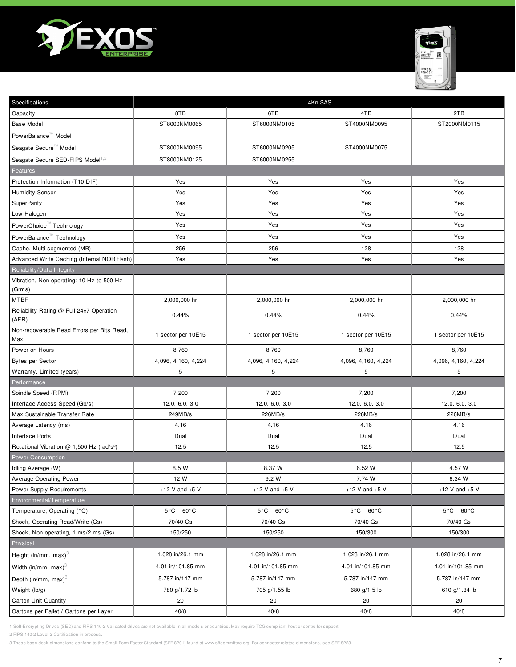



| Specifications                                        | 4Kn SAS                         |                                 |                                 |                                 |
|-------------------------------------------------------|---------------------------------|---------------------------------|---------------------------------|---------------------------------|
| Capacity                                              | 8TB                             | 6TB                             | 4TB                             | 2TB                             |
| <b>Base Model</b>                                     | ST8000NM0065                    | ST6000NM0105                    | ST4000NM0095                    | ST2000NM0115                    |
| PowerBalance <sup>"</sup> Model                       |                                 | $\overline{\phantom{0}}$        |                                 | $\overline{\phantom{0}}$        |
| Seagate Secure <sup>™</sup> Model <sup>1</sup>        | ST8000NM0095                    | ST6000NM0205                    | ST4000NM0075                    | —                               |
| Seagate Secure SED-FIPS Model <sup>1,2</sup>          | ST8000NM0125                    | ST6000NM0255                    | —                               | —                               |
| Features                                              |                                 |                                 |                                 |                                 |
| Protection Information (T10 DIF)                      | Yes                             | Yes                             | Yes                             | Yes                             |
| <b>Humidity Sensor</b>                                | Yes                             | Yes                             | Yes                             | Yes                             |
| SuperParity                                           | Yes                             | Yes                             | Yes                             | Yes                             |
| Low Halogen                                           | Yes                             | Yes                             | Yes                             | Yes                             |
| PowerChoice <sup>™</sup> Technology                   | Yes                             | Yes                             | Yes                             | Yes                             |
| PowerBalance <sup>™</sup> Technology                  | Yes                             | Yes                             | Yes                             | Yes                             |
| Cache, Multi-segmented (MB)                           | 256                             | 256                             | 128                             | 128                             |
| Advanced Write Caching (Internal NOR flash)           | Yes                             | Yes                             | Yes                             | Yes                             |
| Reliability/Data Integrity                            |                                 |                                 |                                 |                                 |
| Vibration, Non-operating: 10 Hz to 500 Hz<br>(Grms)   |                                 |                                 |                                 |                                 |
| MTBF                                                  | 2,000,000 hr                    | 2,000,000 hr                    | 2,000,000 hr                    | 2,000,000 hr                    |
| Reliability Rating @ Full 24x7 Operation<br>(AFR)     | 0.44%                           | 0.44%                           | 0.44%                           | 0.44%                           |
| Non-recoverable Read Errors per Bits Read,<br>Max     | 1 sector per 10E15              | 1 sector per 10E15              | 1 sector per 10E15              | 1 sector per 10E15              |
| Power-on Hours                                        | 8,760                           | 8,760                           | 8,760                           | 8,760                           |
| <b>Bytes per Sector</b>                               | 4,096, 4,160, 4,224             | 4,096, 4,160, 4,224             | 4,096, 4,160, 4,224             | 4,096, 4,160, 4,224             |
| Warranty, Limited (years)                             | 5                               | 5                               | 5                               | 5                               |
| Performance                                           |                                 |                                 |                                 |                                 |
| Spindle Speed (RPM)                                   | 7,200                           | 7,200                           | 7,200                           | 7,200                           |
| Interface Access Speed (Gb/s)                         | 12.0, 6.0, 3.0                  | 12.0, 6.0, 3.0                  | 12.0, 6.0, 3.0                  | 12.0, 6.0, 3.0                  |
| Max Sustainable Transfer Rate                         | 249MB/s                         | 226MB/s                         | 226MB/s                         | 226MB/s                         |
| Average Latency (ms)                                  | 4.16                            | 4.16                            | 4.16                            | 4.16                            |
| <b>Interface Ports</b>                                | Dual                            | Dual                            | Dual                            | Dual                            |
| Rotational Vibration @ 1,500 Hz (rad/s <sup>2</sup> ) | 12.5                            | 12.5                            | 12.5                            | 12.5                            |
| <b>Power Consumption</b>                              |                                 |                                 |                                 |                                 |
| Idling Average (W)                                    | 8.5 W                           | 8.37 W                          | 6.52 W                          | 4.57 W                          |
| <b>Average Operating Power</b>                        | 12 W                            | 9.2 W                           | 7.74 W                          | 6.34 W                          |
| Power Supply Requirements                             | +12 V and $+5$ V                | +12 V and $+5$ V                | +12 V and $+5$ V                | +12 V and $+5$ V                |
| Environmental/Temperature                             |                                 |                                 |                                 |                                 |
| Temperature, Operating (°C)                           | $5^{\circ}$ C - 60 $^{\circ}$ C | $5^{\circ}$ C - 60 $^{\circ}$ C | $5^{\circ}$ C – 60 $^{\circ}$ C | $5^{\circ}$ C - 60 $^{\circ}$ C |
| Shock, Operating Read/Write (Gs)                      | 70/40 Gs                        | 70/40 Gs                        | 70/40 Gs                        | 70/40 Gs                        |
| Shock, Non-operating, 1 ms/2 ms (Gs)                  | 150/250                         | 150/250                         | 150/300                         | 150/300                         |
| Physical                                              |                                 |                                 |                                 |                                 |
| Height (in/mm, max) <sup>3</sup>                      | 1.028 in/26.1 mm                | 1.028 in/26.1 mm                | 1.028 in/26.1 mm                | 1.028 in/26.1 mm                |
| Width (in/mm, max) $3$                                | 4.01 in/101.85 mm               | 4.01 in/101.85 mm               | 4.01 in/101.85 mm               | 4.01 in/101.85 mm               |
| Depth (in/mm, max) $3$                                | 5.787 in/147 mm                 | 5.787 in/147 mm                 | 5.787 in/147 mm                 | 5.787 in/147 mm                 |
| Weight (lb/g)                                         | 780 g/1.72 lb                   | 705 g/1.55 lb                   | 680 g/1.5 lb                    | 610 g/1.34 lb                   |
| <b>Carton Unit Quantity</b>                           | 20                              | 20                              | 20                              | 20                              |
| Cartons per Pallet / Cartons per Layer                | 40/8                            | 40/8                            | 40/8                            | 40/8                            |

2 FIPS 140-2 Level 2 Certification in process.